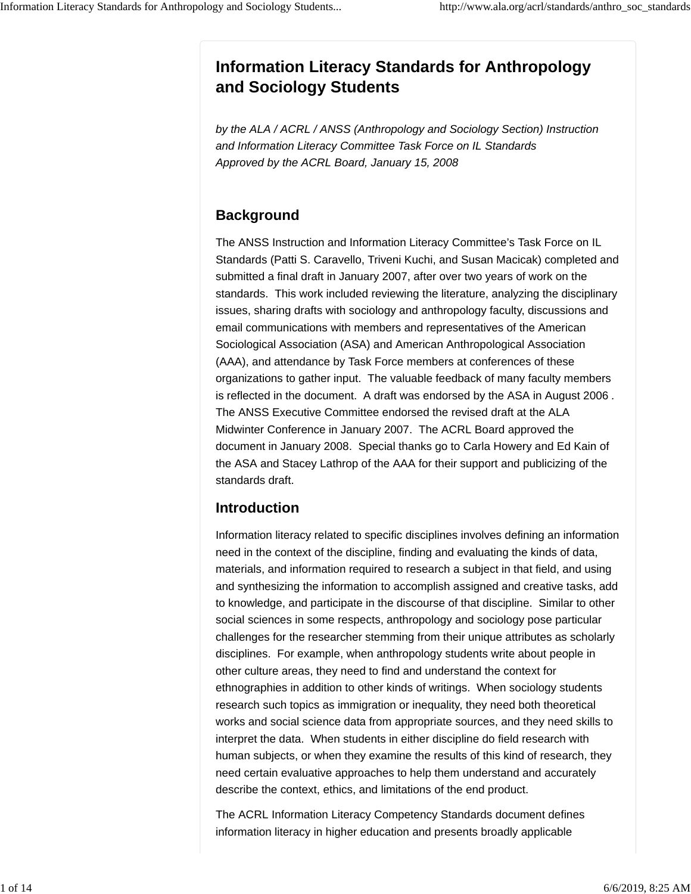# **Information Literacy Standards for Anthropology and Sociology Students**

*by the ALA / ACRL / ANSS (Anthropology and Sociology Section) Instruction and Information Literacy Committee Task Force on IL Standards Approved by the ACRL Board, January 15, 2008*

# **Background**

The ANSS Instruction and Information Literacy Committee's Task Force on IL Standards (Patti S. Caravello, Triveni Kuchi, and Susan Macicak) completed and submitted a final draft in January 2007, after over two years of work on the standards. This work included reviewing the literature, analyzing the disciplinary issues, sharing drafts with sociology and anthropology faculty, discussions and email communications with members and representatives of the American Sociological Association (ASA) and American Anthropological Association (AAA), and attendance by Task Force members at conferences of these organizations to gather input. The valuable feedback of many faculty members is reflected in the document. A draft was endorsed by the ASA in August 2006 *.* The ANSS Executive Committee endorsed the revised draft at the ALA Midwinter Conference in January 2007. The ACRL Board approved the document in January 2008. Special thanks go to Carla Howery and Ed Kain of the ASA and Stacey Lathrop of the AAA for their support and publicizing of the standards draft.

# **Introduction**

Information literacy related to specific disciplines involves defining an information need in the context of the discipline, finding and evaluating the kinds of data, materials, and information required to research a subject in that field, and using and synthesizing the information to accomplish assigned and creative tasks, add to knowledge, and participate in the discourse of that discipline. Similar to other social sciences in some respects, anthropology and sociology pose particular challenges for the researcher stemming from their unique attributes as scholarly disciplines. For example, when anthropology students write about people in other culture areas, they need to find and understand the context for ethnographies in addition to other kinds of writings. When sociology students research such topics as immigration or inequality, they need both theoretical works and social science data from appropriate sources, and they need skills to interpret the data. When students in either discipline do field research with human subjects, or when they examine the results of this kind of research, they need certain evaluative approaches to help them understand and accurately describe the context, ethics, and limitations of the end product.

The ACRL Information Literacy Competency Standards document defines information literacy in higher education and presents broadly applicable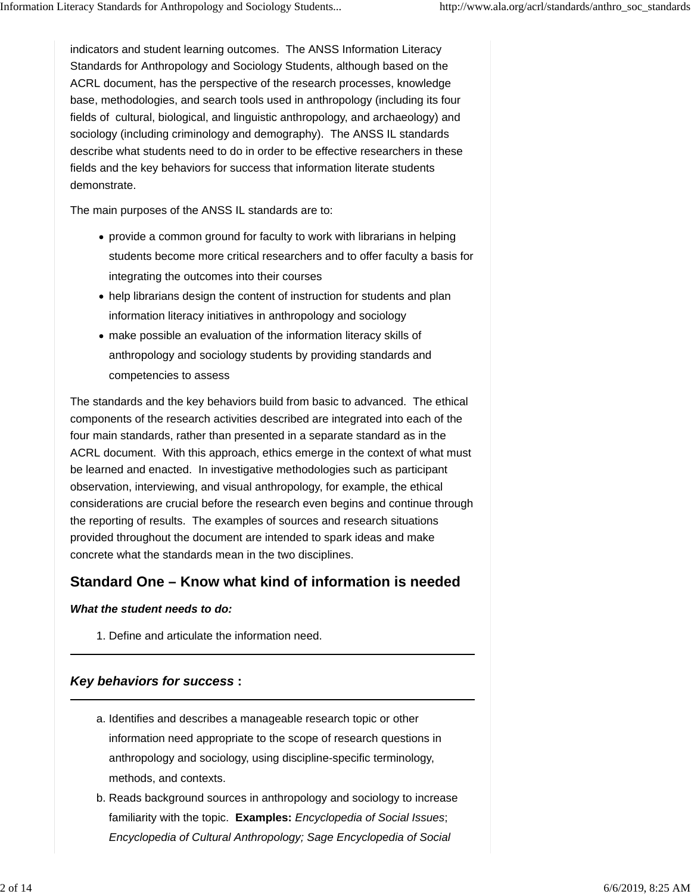indicators and student learning outcomes. The ANSS Information Literacy Standards for Anthropology and Sociology Students, although based on the ACRL document, has the perspective of the research processes, knowledge base, methodologies, and search tools used in anthropology (including its four fields of cultural, biological, and linguistic anthropology, and archaeology) and sociology (including criminology and demography). The ANSS IL standards describe what students need to do in order to be effective researchers in these fields and the key behaviors for success that information literate students demonstrate.

The main purposes of the ANSS IL standards are to:

- provide a common ground for faculty to work with librarians in helping students become more critical researchers and to offer faculty a basis for integrating the outcomes into their courses
- help librarians design the content of instruction for students and plan information literacy initiatives in anthropology and sociology
- make possible an evaluation of the information literacy skills of anthropology and sociology students by providing standards and competencies to assess

The standards and the key behaviors build from basic to advanced. The ethical components of the research activities described are integrated into each of the four main standards, rather than presented in a separate standard as in the ACRL document. With this approach, ethics emerge in the context of what must be learned and enacted. In investigative methodologies such as participant observation, interviewing, and visual anthropology, for example, the ethical considerations are crucial before the research even begins and continue through the reporting of results. The examples of sources and research situations provided throughout the document are intended to spark ideas and make concrete what the standards mean in the two disciplines.

# **Standard One – Know what kind of information is needed**

#### *What the student needs to do:*

1. Define and articulate the information need.

## *Key behaviors for success* **:**

- a. Identifies and describes a manageable research topic or other information need appropriate to the scope of research questions in anthropology and sociology, using discipline-specific terminology, methods, and contexts.
- b. Reads background sources in anthropology and sociology to increase familiarity with the topic. **Examples:** *Encyclopedia of Social Issues*; *Encyclopedia of Cultural Anthropology; Sage Encyclopedia of Social*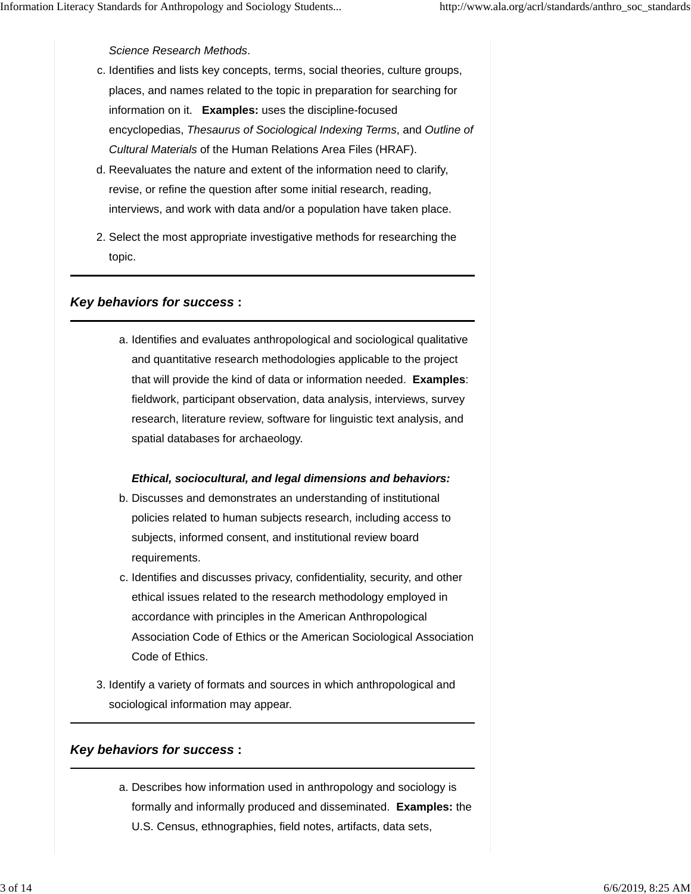### *Science Research Methods*.

- c. Identifies and lists key concepts, terms, social theories, culture groups, places, and names related to the topic in preparation for searching for information on it. **Examples:** uses the discipline-focused encyclopedias, *Thesaurus of Sociological Indexing Terms*, and *Outline of Cultural Materials* of the Human Relations Area Files (HRAF).
- d. Reevaluates the nature and extent of the information need to clarify, revise, or refine the question after some initial research, reading, interviews, and work with data and/or a population have taken place.
- 2. Select the most appropriate investigative methods for researching the topic.

## *Key behaviors for success* **:**

a. Identifies and evaluates anthropological and sociological qualitative and quantitative research methodologies applicable to the project that will provide the kind of data or information needed. **Examples**: fieldwork, participant observation, data analysis, interviews, survey research, literature review, software for linguistic text analysis, and spatial databases for archaeology.

#### *Ethical, sociocultural, and legal dimensions and behaviors:*

- b. Discusses and demonstrates an understanding of institutional policies related to human subjects research, including access to subjects, informed consent, and institutional review board requirements.
- c. Identifies and discusses privacy, confidentiality, security, and other ethical issues related to the research methodology employed in accordance with principles in the American Anthropological Association Code of Ethics or the American Sociological Association Code of Ethics.
- 3. Identify a variety of formats and sources in which anthropological and sociological information may appear.

# *Key behaviors for success* **:**

a. Describes how information used in anthropology and sociology is formally and informally produced and disseminated. **Examples:** the U.S. Census, ethnographies, field notes, artifacts, data sets,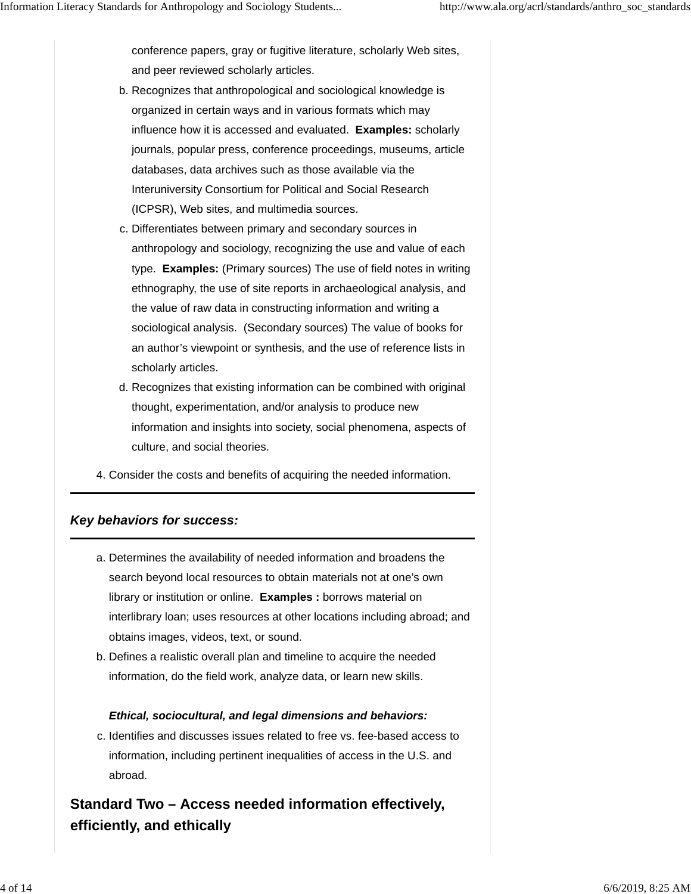conference papers, gray or fugitive literature, scholarly Web sites, and peer reviewed scholarly articles.

- b. Recognizes that anthropological and sociological knowledge is organized in certain ways and in various formats which may influence how it is accessed and evaluated. **Examples:** scholarly journals, popular press, conference proceedings, museums, article databases, data archives such as those available via the Interuniversity Consortium for Political and Social Research (ICPSR), Web sites, and multimedia sources.
- c. Differentiates between primary and secondary sources in anthropology and sociology, recognizing the use and value of each type. **Examples:** (Primary sources) The use of field notes in writing ethnography, the use of site reports in archaeological analysis, and the value of raw data in constructing information and writing a sociological analysis. (Secondary sources) The value of books for an author's viewpoint or synthesis, and the use of reference lists in scholarly articles.
- d. Recognizes that existing information can be combined with original thought, experimentation, and/or analysis to produce new information and insights into society, social phenomena, aspects of culture, and social theories.
- 4. Consider the costs and benefits of acquiring the needed information.

#### *Key behaviors for success:*

- a. Determines the availability of needed information and broadens the search beyond local resources to obtain materials not at one's own library or institution or online. **Examples :** borrows material on interlibrary loan; uses resources at other locations including abroad; and obtains images, videos, text, or sound.
- b. Defines a realistic overall plan and timeline to acquire the needed information, do the field work, analyze data, or learn new skills.

#### *Ethical, sociocultural, and legal dimensions and behaviors:*

c. Identifies and discusses issues related to free vs. fee-based access to information, including pertinent inequalities of access in the U.S. and abroad.

# **Standard Two – Access needed information effectively, efficiently, and ethically**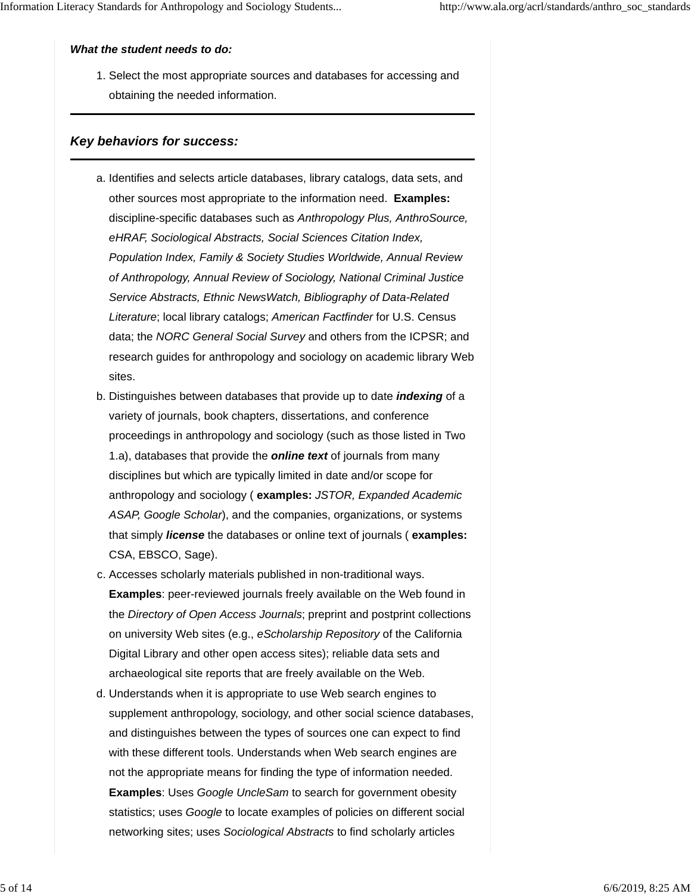#### *What the student needs to do:*

1. Select the most appropriate sources and databases for accessing and obtaining the needed information.

#### *Key behaviors for success:*

- a. Identifies and selects article databases, library catalogs, data sets, and other sources most appropriate to the information need. **Examples:** discipline-specific databases such as *Anthropology Plus, AnthroSource, eHRAF, Sociological Abstracts, Social Sciences Citation Index, Population Index, Family & Society Studies Worldwide, Annual Review of Anthropology, Annual Review of Sociology, National Criminal Justice Service Abstracts, Ethnic NewsWatch, Bibliography of Data-Related Literature*; local library catalogs; *American Factfinder* for U.S. Census data; the *NORC General Social Survey* and others from the ICPSR; and research guides for anthropology and sociology on academic library Web sites.
- b. Distinguishes between databases that provide up to date *indexing* of a variety of journals, book chapters, dissertations, and conference proceedings in anthropology and sociology (such as those listed in Two 1.a), databases that provide the *online text* of journals from many disciplines but which are typically limited in date and/or scope for anthropology and sociology ( **examples:** *JSTOR, Expanded Academic ASAP, Google Scholar*), and the companies, organizations, or systems that simply *license* the databases or online text of journals ( **examples:** CSA, EBSCO, Sage).
- c. Accesses scholarly materials published in non-traditional ways. **Examples**: peer-reviewed journals freely available on the Web found in the *Directory of Open Access Journals*; preprint and postprint collections on university Web sites (e.g., *eScholarship Repository* of the California Digital Library and other open access sites); reliable data sets and archaeological site reports that are freely available on the Web.
- d. Understands when it is appropriate to use Web search engines to supplement anthropology, sociology, and other social science databases, and distinguishes between the types of sources one can expect to find with these different tools. Understands when Web search engines are not the appropriate means for finding the type of information needed. **Examples**: Uses *Google UncleSam* to search for government obesity statistics; uses *Google* to locate examples of policies on different social networking sites; uses *Sociological Abstracts* to find scholarly articles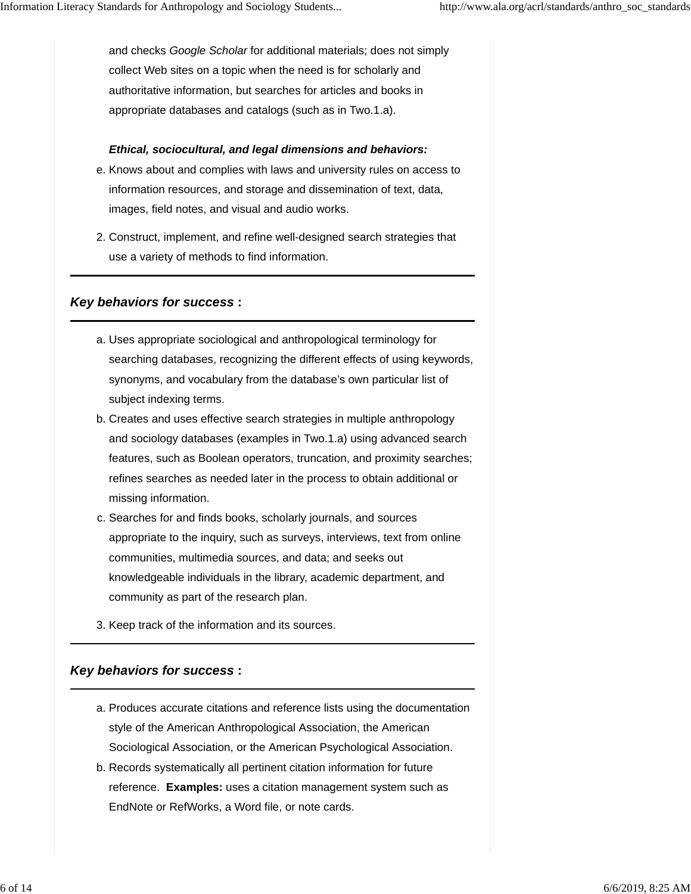and checks *Google Scholar* for additional materials; does not simply collect Web sites on a topic when the need is for scholarly and authoritative information, but searches for articles and books in appropriate databases and catalogs (such as in Two.1.a).

### *Ethical, sociocultural, and legal dimensions and behaviors:*

- e. Knows about and complies with laws and university rules on access to information resources, and storage and dissemination of text, data, images, field notes, and visual and audio works.
- 2. Construct, implement, and refine well-designed search strategies that use a variety of methods to find information.

## *Key behaviors for success* **:**

- Uses appropriate sociological and anthropological terminology for a. searching databases, recognizing the different effects of using keywords, synonyms, and vocabulary from the database's own particular list of subject indexing terms.
- b. Creates and uses effective search strategies in multiple anthropology and sociology databases (examples in Two.1.a) using advanced search features, such as Boolean operators, truncation, and proximity searches; refines searches as needed later in the process to obtain additional or missing information.
- c. Searches for and finds books, scholarly journals, and sources appropriate to the inquiry, such as surveys, interviews, text from online communities, multimedia sources, and data; and seeks out knowledgeable individuals in the library, academic department, and community as part of the research plan.
- 3. Keep track of the information and its sources.

## *Key behaviors for success* **:**

- a. Produces accurate citations and reference lists using the documentation style of the American Anthropological Association, the American Sociological Association, or the American Psychological Association.
- b. Records systematically all pertinent citation information for future reference. **Examples:** uses a citation management system such as EndNote or RefWorks, a Word file, or note cards.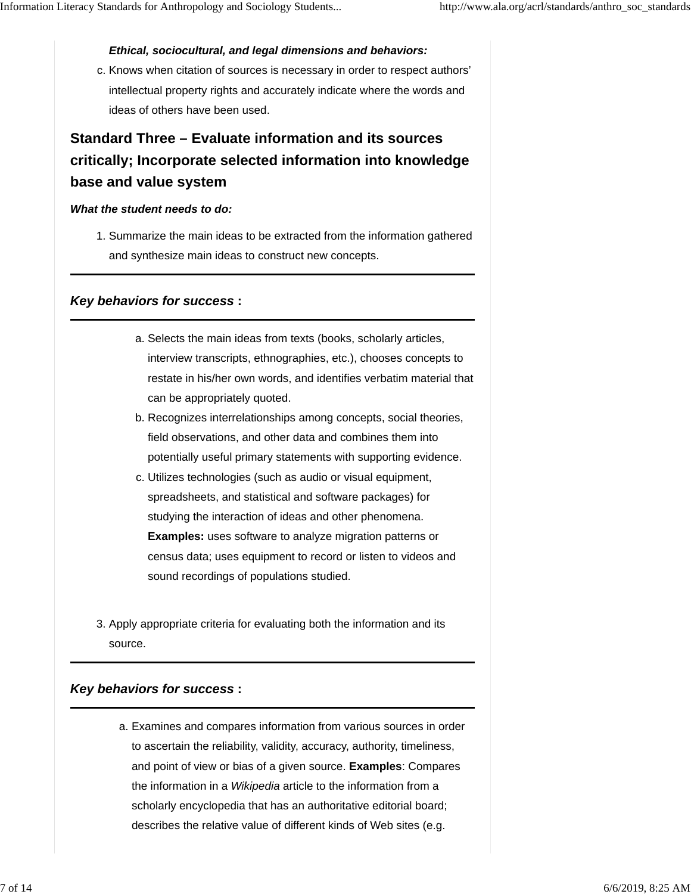#### *Ethical, sociocultural, and legal dimensions and behaviors:*

c. Knows when citation of sources is necessary in order to respect authors' intellectual property rights and accurately indicate where the words and ideas of others have been used.

# **Standard Three – Evaluate information and its sources critically; Incorporate selected information into knowledge base and value system**

#### *What the student needs to do:*

1. Summarize the main ideas to be extracted from the information gathered and synthesize main ideas to construct new concepts.

#### *Key behaviors for success* **:**

- a. Selects the main ideas from texts (books, scholarly articles, interview transcripts, ethnographies, etc.), chooses concepts to restate in his/her own words, and identifies verbatim material that can be appropriately quoted.
- b. Recognizes interrelationships among concepts, social theories, field observations, and other data and combines them into potentially useful primary statements with supporting evidence.
- c. Utilizes technologies (such as audio or visual equipment, spreadsheets, and statistical and software packages) for studying the interaction of ideas and other phenomena. **Examples:** uses software to analyze migration patterns or census data; uses equipment to record or listen to videos and sound recordings of populations studied.
- 3. Apply appropriate criteria for evaluating both the information and its source.

#### *Key behaviors for success* **:**

a. Examines and compares information from various sources in order to ascertain the reliability, validity, accuracy, authority, timeliness, and point of view or bias of a given source. **Examples**: Compares the information in a *Wikipedia* article to the information from a scholarly encyclopedia that has an authoritative editorial board; describes the relative value of different kinds of Web sites (e.g.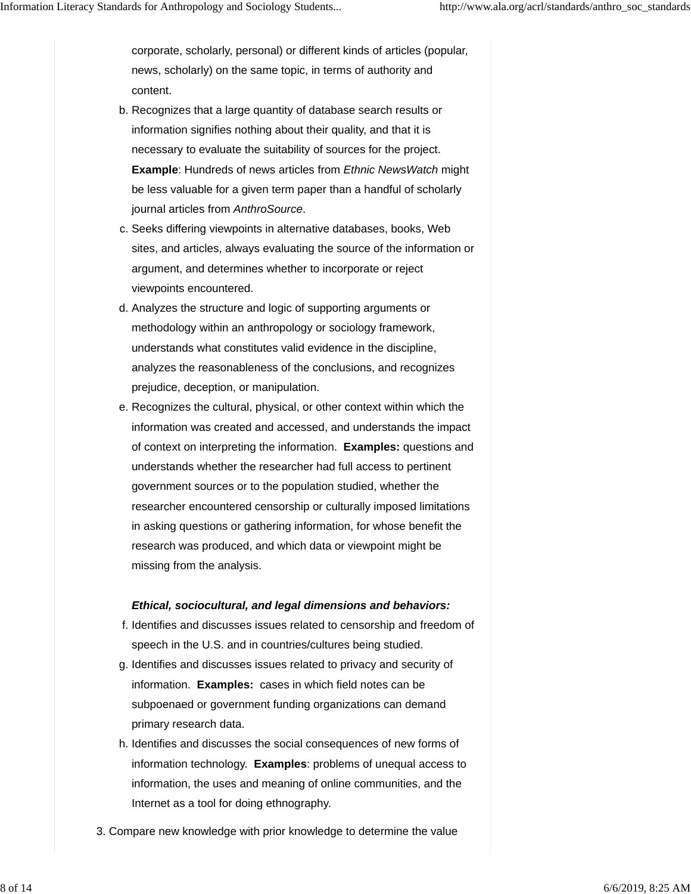corporate, scholarly, personal) or different kinds of articles (popular, news, scholarly) on the same topic, in terms of authority and content.

- b. Recognizes that a large quantity of database search results or information signifies nothing about their quality, and that it is necessary to evaluate the suitability of sources for the project. **Example**: Hundreds of news articles from *Ethnic NewsWatch* might be less valuable for a given term paper than a handful of scholarly journal articles from *AnthroSource*.
- c. Seeks differing viewpoints in alternative databases, books, Web sites, and articles, always evaluating the source of the information or argument, and determines whether to incorporate or reject viewpoints encountered.
- d. Analyzes the structure and logic of supporting arguments or methodology within an anthropology or sociology framework, understands what constitutes valid evidence in the discipline, analyzes the reasonableness of the conclusions, and recognizes prejudice, deception, or manipulation.
- e. Recognizes the cultural, physical, or other context within which the information was created and accessed, and understands the impact of context on interpreting the information. **Examples:** questions and understands whether the researcher had full access to pertinent government sources or to the population studied, whether the researcher encountered censorship or culturally imposed limitations in asking questions or gathering information, for whose benefit the research was produced, and which data or viewpoint might be missing from the analysis.

#### *Ethical, sociocultural, and legal dimensions and behaviors:*

- f. Identifies and discusses issues related to censorship and freedom of speech in the U.S. and in countries/cultures being studied.
- g. Identifies and discusses issues related to privacy and security of information. **Examples:** cases in which field notes can be subpoenaed or government funding organizations can demand primary research data.
- h. Identifies and discusses the social consequences of new forms of information technology. **Examples**: problems of unequal access to information, the uses and meaning of online communities, and the Internet as a tool for doing ethnography.
- 3. Compare new knowledge with prior knowledge to determine the value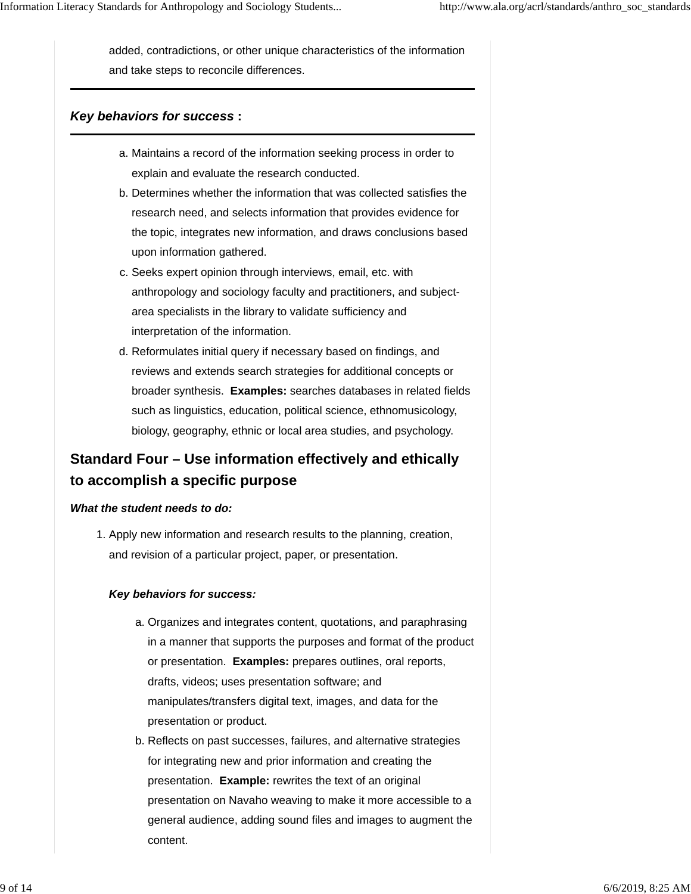added, contradictions, or other unique characteristics of the information and take steps to reconcile differences.

### *Key behaviors for success* **:**

- a. Maintains a record of the information seeking process in order to explain and evaluate the research conducted.
- b. Determines whether the information that was collected satisfies the research need, and selects information that provides evidence for the topic, integrates new information, and draws conclusions based upon information gathered.
- c. Seeks expert opinion through interviews, email, etc. with anthropology and sociology faculty and practitioners, and subjectarea specialists in the library to validate sufficiency and interpretation of the information.
- d. Reformulates initial query if necessary based on findings, and reviews and extends search strategies for additional concepts or broader synthesis. **Examples:** searches databases in related fields such as linguistics, education, political science, ethnomusicology, biology, geography, ethnic or local area studies, and psychology.

# **Standard Four – Use information effectively and ethically to accomplish a specific purpose**

#### *What the student needs to do:*

1. Apply new information and research results to the planning, creation, and revision of a particular project, paper, or presentation.

#### *Key behaviors for success:*

- a. Organizes and integrates content, quotations, and paraphrasing in a manner that supports the purposes and format of the product or presentation. **Examples:** prepares outlines, oral reports, drafts, videos; uses presentation software; and manipulates/transfers digital text, images, and data for the presentation or product.
- b. Reflects on past successes, failures, and alternative strategies for integrating new and prior information and creating the presentation. **Example:** rewrites the text of an original presentation on Navaho weaving to make it more accessible to a general audience, adding sound files and images to augment the content.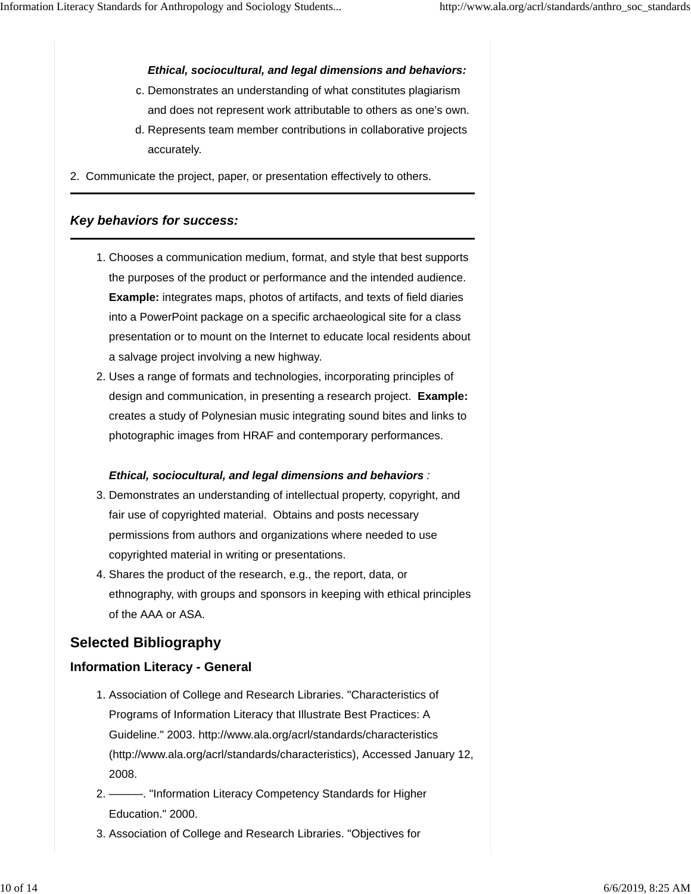*Ethical, sociocultural, and legal dimensions and behaviors:*

- c. Demonstrates an understanding of what constitutes plagiarism and does not represent work attributable to others as one's own.
- d. Represents team member contributions in collaborative projects accurately.

2. Communicate the project, paper, or presentation effectively to others.

### *Key behaviors for success:*

- Chooses a communication medium, format, and style that best supports 1. the purposes of the product or performance and the intended audience. **Example:** integrates maps, photos of artifacts, and texts of field diaries into a PowerPoint package on a specific archaeological site for a class presentation or to mount on the Internet to educate local residents about a salvage project involving a new highway.
- 2. Uses a range of formats and technologies, incorporating principles of design and communication, in presenting a research project. **Example:** creates a study of Polynesian music integrating sound bites and links to photographic images from HRAF and contemporary performances.

#### *Ethical, sociocultural, and legal dimensions and behaviors :*

- 3. Demonstrates an understanding of intellectual property, copyright, and fair use of copyrighted material. Obtains and posts necessary permissions from authors and organizations where needed to use copyrighted material in writing or presentations.
- 4. Shares the product of the research, e.g., the report, data, or ethnography, with groups and sponsors in keeping with ethical principles of the AAA or ASA.

# **Selected Bibliography**

## **Information Literacy - General**

- 1. Association of College and Research Libraries. "Characteristics of Programs of Information Literacy that Illustrate Best Practices: A Guideline." 2003. http://www.ala.org/acrl/standards/characteristics (http://www.ala.org/acrl/standards/characteristics), Accessed January 12, 2008.
- ———. "Information Literacy Competency Standards for Higher 2. Education." 2000.
- 3. Association of College and Research Libraries. "Objectives for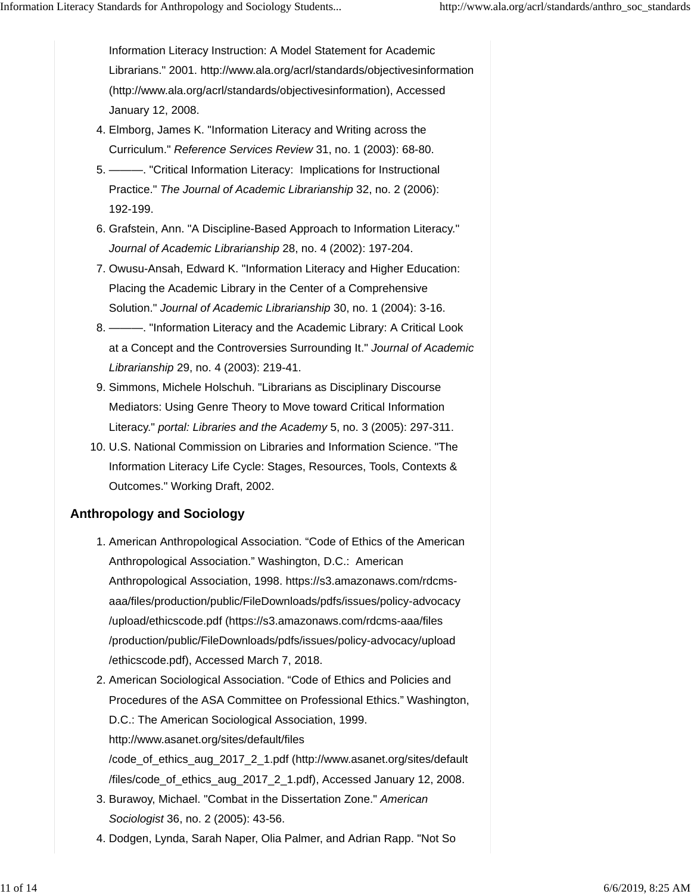Information Literacy Instruction: A Model Statement for Academic Librarians." 2001. http://www.ala.org/acrl/standards/objectivesinformation (http://www.ala.org/acrl/standards/objectivesinformation), Accessed January 12, 2008.

- Elmborg, James K. "Information Literacy and Writing across the 4. Curriculum." *Reference Services Review* 31, no. 1 (2003): 68-80.
- ———. "Critical Information Literacy: Implications for Instructional 5. Practice." *The Journal of Academic Librarianship* 32, no. 2 (2006): 192-199.
- 6. Grafstein, Ann. "A Discipline-Based Approach to Information Literacy." *Journal of Academic Librarianship* 28, no. 4 (2002): 197-204.
- 7. Owusu-Ansah, Edward K. "Information Literacy and Higher Education: Placing the Academic Library in the Center of a Comprehensive Solution." *Journal of Academic Librarianship* 30, no. 1 (2004): 3-16.
- ———. "Information Literacy and the Academic Library: A Critical Look 8. at a Concept and the Controversies Surrounding It." *Journal of Academic Librarianship* 29, no. 4 (2003): 219-41.
- 9. Simmons, Michele Holschuh. "Librarians as Disciplinary Discourse Mediators: Using Genre Theory to Move toward Critical Information Literacy." *portal: Libraries and the Academy* 5, no. 3 (2005): 297-311.
- 10. U.S. National Commission on Libraries and Information Science. "The Information Literacy Life Cycle: Stages, Resources, Tools, Contexts & Outcomes." Working Draft, 2002.

# **Anthropology and Sociology**

- 1. American Anthropological Association. "Code of Ethics of the American Anthropological Association." Washington, D.C.: American Anthropological Association, 1998. https://s3.amazonaws.com/rdcmsaaa/files/production/public/FileDownloads/pdfs/issues/policy-advocacy /upload/ethicscode.pdf (https://s3.amazonaws.com/rdcms-aaa/files /production/public/FileDownloads/pdfs/issues/policy-advocacy/upload /ethicscode.pdf), Accessed March 7, 2018.
- 2. American Sociological Association. "Code of Ethics and Policies and Procedures of the ASA Committee on Professional Ethics." Washington, D.C.: The American Sociological Association, 1999. http://www.asanet.org/sites/default/files /code\_of\_ethics\_aug\_2017\_2\_1.pdf (http://www.asanet.org/sites/default
	- /files/code\_of\_ethics\_aug\_2017\_2\_1.pdf), Accessed January 12, 2008.
- 3. Burawoy, Michael. "Combat in the Dissertation Zone." American *Sociologist* 36, no. 2 (2005): 43-56.
- 4. Dodgen, Lynda, Sarah Naper, Olia Palmer, and Adrian Rapp. "Not So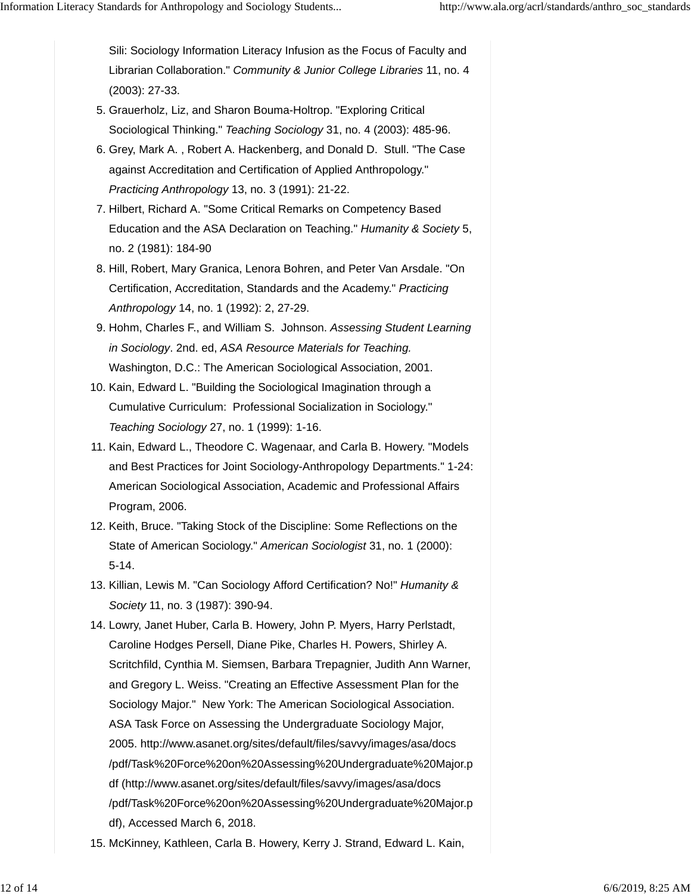Sili: Sociology Information Literacy Infusion as the Focus of Faculty and Librarian Collaboration." *Community & Junior College Libraries* 11, no. 4 (2003): 27-33.

- 5. Grauerholz, Liz, and Sharon Bouma-Holtrop. "Exploring Critical Sociological Thinking." *Teaching Sociology* 31, no. 4 (2003): 485-96.
- 6. Grey, Mark A., Robert A. Hackenberg, and Donald D. Stull. "The Case against Accreditation and Certification of Applied Anthropology." *Practicing Anthropology* 13, no. 3 (1991): 21-22.
- 7. Hilbert, Richard A. "Some Critical Remarks on Competency Based Education and the ASA Declaration on Teaching." *Humanity & Society* 5, no. 2 (1981): 184-90
- 8. Hill, Robert, Mary Granica, Lenora Bohren, and Peter Van Arsdale. "On Certification, Accreditation, Standards and the Academy." *Practicing Anthropology* 14, no. 1 (1992): 2, 27-29.
- 9. Hohm, Charles F., and William S. Johnson. Assessing Student Learning *in Sociology*. 2nd. ed, *ASA Resource Materials for Teaching.* Washington, D.C.: The American Sociological Association, 2001.
- 10. Kain, Edward L. "Building the Sociological Imagination through a Cumulative Curriculum: Professional Socialization in Sociology." *Teaching Sociology* 27, no. 1 (1999): 1-16.
- 11. Kain, Edward L., Theodore C. Wagenaar, and Carla B. Howery. "Models and Best Practices for Joint Sociology-Anthropology Departments." 1-24: American Sociological Association, Academic and Professional Affairs Program, 2006.
- 12. Keith, Bruce. "Taking Stock of the Discipline: Some Reflections on the State of American Sociology." *American Sociologist* 31, no. 1 (2000): 5-14.
- 13. Killian, Lewis M. "Can Sociology Afford Certification? No!" *Humanity & Society* 11, no. 3 (1987): 390-94.
- 14. Lowry, Janet Huber, Carla B. Howery, John P. Myers, Harry Perlstadt, Caroline Hodges Persell, Diane Pike, Charles H. Powers, Shirley A. Scritchfild, Cynthia M. Siemsen, Barbara Trepagnier, Judith Ann Warner, and Gregory L. Weiss. "Creating an Effective Assessment Plan for the Sociology Major." New York: The American Sociological Association. ASA Task Force on Assessing the Undergraduate Sociology Major, 2005. http://www.asanet.org/sites/default/files/savvy/images/asa/docs /pdf/Task%20Force%20on%20Assessing%20Undergraduate%20Major.p df (http://www.asanet.org/sites/default/files/savvy/images/asa/docs /pdf/Task%20Force%20on%20Assessing%20Undergraduate%20Major.p df), Accessed March 6, 2018.
- 15. McKinney, Kathleen, Carla B. Howery, Kerry J. Strand, Edward L. Kain,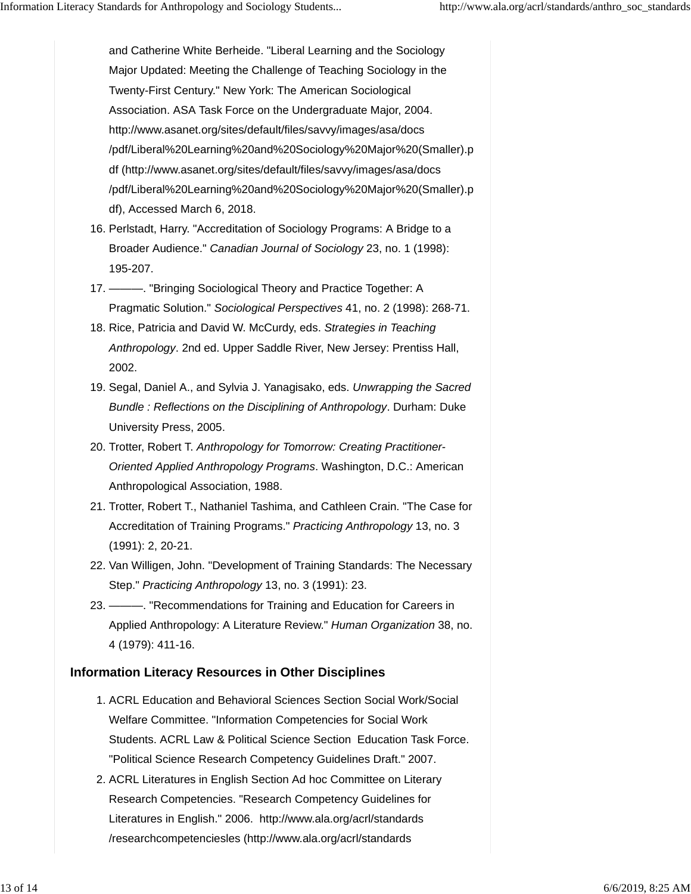and Catherine White Berheide. "Liberal Learning and the Sociology Major Updated: Meeting the Challenge of Teaching Sociology in the Twenty-First Century." New York: The American Sociological Association. ASA Task Force on the Undergraduate Major, 2004. http://www.asanet.org/sites/default/files/savvy/images/asa/docs /pdf/Liberal%20Learning%20and%20Sociology%20Major%20(Smaller).p df (http://www.asanet.org/sites/default/files/savvy/images/asa/docs /pdf/Liberal%20Learning%20and%20Sociology%20Major%20(Smaller).p df), Accessed March 6, 2018.

- 16. Perlstadt, Harry. "Accreditation of Sociology Programs: A Bridge to a Broader Audience." *Canadian Journal of Sociology* 23, no. 1 (1998): 195-207.
- ———. "Bringing Sociological Theory and Practice Together: A 17. Pragmatic Solution." *Sociological Perspectives* 41, no. 2 (1998): 268-71.
- 18. Rice, Patricia and David W. McCurdy, eds. Strategies in Teaching *Anthropology*. 2nd ed. Upper Saddle River, New Jersey: Prentiss Hall, 2002.
- 19. Segal, Daniel A., and Sylvia J. Yanagisako, eds. Unwrapping the Sacred *Bundle : Reflections on the Disciplining of Anthropology*. Durham: Duke University Press, 2005.
- 20. Trotter, Robert T. Anthropology for Tomorrow: Creating Practitioner-*Oriented Applied Anthropology Programs*. Washington, D.C.: American Anthropological Association, 1988.
- 21. Trotter, Robert T., Nathaniel Tashima, and Cathleen Crain. "The Case for Accreditation of Training Programs." *Practicing Anthropology* 13, no. 3 (1991): 2, 20-21.
- 22. Van Willigen, John. "Development of Training Standards: The Necessary Step." *Practicing Anthropology* 13, no. 3 (1991): 23.
- ———. "Recommendations for Training and Education for Careers in 23. Applied Anthropology: A Literature Review." *Human Organization* 38, no. 4 (1979): 411-16.

#### **Information Literacy Resources in Other Disciplines**

- 1. ACRL Education and Behavioral Sciences Section Social Work/Social Welfare Committee. "Information Competencies for Social Work Students. ACRL Law & Political Science Section Education Task Force. "Political Science Research Competency Guidelines Draft." 2007.
- 2. ACRL Literatures in English Section Ad hoc Committee on Literary Research Competencies. "Research Competency Guidelines for Literatures in English." 2006. http://www.ala.org/acrl/standards /researchcompetenciesles (http://www.ala.org/acrl/standards